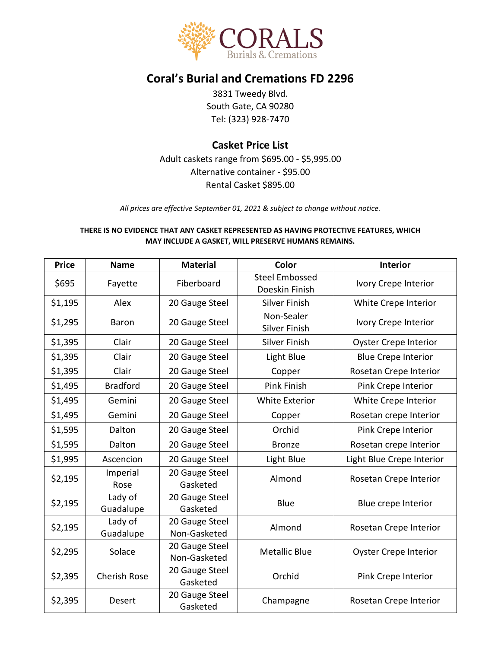

# **Coral's Burial and Cremations FD 2296**

3831 Tweedy Blvd. South Gate, CA 90280 Tel: (323) 928-7470

# **Casket Price List**

Adult caskets range from \$695.00 - \$5,995.00 Alternative container - \$95.00 Rental Casket \$895.00

*All prices are effective September 01, 2021 & subject to change without notice.*

#### **THERE IS NO EVIDENCE THAT ANY CASKET REPRESENTED AS HAVING PROTECTIVE FEATURES, WHICH MAY INCLUDE A GASKET, WILL PRESERVE HUMANS REMAINS.**

| <b>Price</b> | <b>Name</b>          | <b>Material</b>                | Color                                   | <b>Interior</b>              |  |
|--------------|----------------------|--------------------------------|-----------------------------------------|------------------------------|--|
| \$695        | Fayette              | Fiberboard                     | <b>Steel Embossed</b><br>Doeskin Finish | Ivory Crepe Interior         |  |
| \$1,195      | Alex                 | 20 Gauge Steel                 | <b>Silver Finish</b>                    | White Crepe Interior         |  |
| \$1,295      | Baron                | 20 Gauge Steel                 | Non-Sealer<br><b>Silver Finish</b>      | Ivory Crepe Interior         |  |
| \$1,395      | Clair                | 20 Gauge Steel                 | <b>Silver Finish</b>                    | <b>Oyster Crepe Interior</b> |  |
| \$1,395      | Clair                | 20 Gauge Steel                 | Light Blue                              | <b>Blue Crepe Interior</b>   |  |
| \$1,395      | Clair                | 20 Gauge Steel                 | Copper                                  | Rosetan Crepe Interior       |  |
| \$1,495      | <b>Bradford</b>      | 20 Gauge Steel                 | Pink Finish                             | Pink Crepe Interior          |  |
| \$1,495      | Gemini               | 20 Gauge Steel                 | <b>White Exterior</b>                   | White Crepe Interior         |  |
| \$1,495      | Gemini               | 20 Gauge Steel                 | Copper                                  | Rosetan crepe Interior       |  |
| \$1,595      | Dalton               | 20 Gauge Steel                 | Orchid                                  | Pink Crepe Interior          |  |
| \$1,595      | Dalton               | 20 Gauge Steel                 | <b>Bronze</b>                           | Rosetan crepe Interior       |  |
| \$1,995      | Ascencion            | 20 Gauge Steel                 | Light Blue                              | Light Blue Crepe Interior    |  |
| \$2,195      | Imperial<br>Rose     | 20 Gauge Steel<br>Gasketed     | Almond                                  | Rosetan Crepe Interior       |  |
| \$2,195      | Lady of<br>Guadalupe | 20 Gauge Steel<br>Gasketed     | Blue                                    | Blue crepe Interior          |  |
| \$2,195      | Lady of<br>Guadalupe | 20 Gauge Steel<br>Non-Gasketed | Almond                                  | Rosetan Crepe Interior       |  |
| \$2,295      | Solace               | 20 Gauge Steel<br>Non-Gasketed | <b>Metallic Blue</b>                    | <b>Oyster Crepe Interior</b> |  |
| \$2,395      | <b>Cherish Rose</b>  | 20 Gauge Steel<br>Gasketed     | Orchid                                  | Pink Crepe Interior          |  |
| \$2,395      | Desert               | 20 Gauge Steel<br>Gasketed     | Champagne                               | Rosetan Crepe Interior       |  |